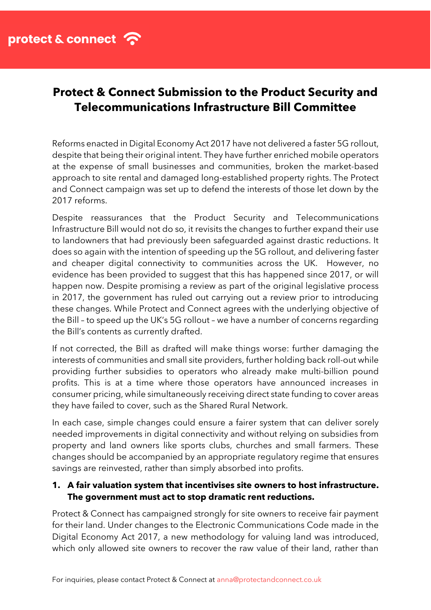protect & connect

# **Protect & Connect Submission to the Product Security and Telecommunications Infrastructure Bill Committee**

Reforms enacted in Digital Economy Act 2017 have not delivered a faster 5G rollout, despite that being their original intent. They have further enriched mobile operators at the expense of small businesses and communities, broken the market-based approach to site rental and damaged long-established property rights. The Protect and Connect campaign was set up to defend the interests of those let down by the 2017 reforms.

Despite reassurances that the Product Security and Telecommunications Infrastructure Bill would not do so, it revisits the changes to further expand their use to landowners that had previously been safeguarded against drastic reductions. It does so again with the intention of speeding up the 5G rollout, and delivering faster and cheaper digital connectivity to communities across the UK. However, no evidence has been provided to suggest that this has happened since 2017, or will happen now. Despite promising a review as part of the original legislative process in 2017, the government has ruled out carrying out a review prior to introducing these changes. While Protect and Connect agrees with the underlying objective of the Bill – to speed up the UK's 5G rollout – we have a number of concerns regarding the Bill's contents as currently drafted.

If not corrected, the Bill as drafted will make things worse: further damaging the interests of communities and small site providers, further holding back roll-out while providing further subsidies to operators who already make multi-billion pound profits. This is at a time where those operators have announced increases in consumer pricing, while simultaneously receiving direct state funding to cover areas they have failed to cover, such as the Shared Rural Network.

In each case, simple changes could ensure a fairer system that can deliver sorely needed improvements in digital connectivity and without relying on subsidies from property and land owners like sports clubs, churches and small farmers. These changes should be accompanied by an appropriate regulatory regime that ensures savings are reinvested, rather than simply absorbed into profits.

### **1. A fair valuation system that incentivises site owners to host infrastructure. The government must act to stop dramatic rent reductions.**

Protect & Connect has campaigned strongly for site owners to receive fair payment for their land. Under changes to the Electronic Communications Code made in the Digital Economy Act 2017, a new methodology for valuing land was introduced, which only allowed site owners to recover the raw value of their land, rather than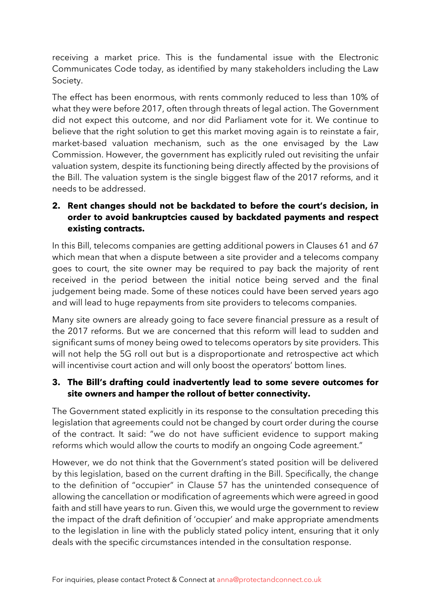receiving a market price. This is the fundamental issue with the Electronic Communicates Code today, as identified by many stakeholders including the Law Society.

The effect has been enormous, with rents commonly reduced to less than 10% of what they were before 2017, often through threats of legal action. The Government did not expect this outcome, and nor did Parliament vote for it. We continue to believe that the right solution to get this market moving again is to reinstate a fair, market-based valuation mechanism, such as the one envisaged by the Law Commission. However, the government has explicitly ruled out revisiting the unfair valuation system, despite its functioning being directly affected by the provisions of the Bill. The valuation system is the single biggest flaw of the 2017 reforms, and it needs to be addressed.

# **2. Rent changes should not be backdated to before the court's decision, in order to avoid bankruptcies caused by backdated payments and respect existing contracts.**

In this Bill, telecoms companies are getting additional powers in Clauses 61 and 67 which mean that when a dispute between a site provider and a telecoms company goes to court, the site owner may be required to pay back the majority of rent received in the period between the initial notice being served and the final judgement being made. Some of these notices could have been served years ago and will lead to huge repayments from site providers to telecoms companies.

Many site owners are already going to face severe financial pressure as a result of the 2017 reforms. But we are concerned that this reform will lead to sudden and significant sums of money being owed to telecoms operators by site providers. This will not help the 5G roll out but is a disproportionate and retrospective act which will incentivise court action and will only boost the operators' bottom lines.

## **3. The Bill's drafting could inadvertently lead to some severe outcomes for site owners and hamper the rollout of better connectivity.**

The Government stated explicitly in its response to the consultation preceding this legislation that agreements could not be changed by court order during the course of the contract. It said: "we do not have sufficient evidence to support making reforms which would allow the courts to modify an ongoing Code agreement."

However, we do not think that the Government's stated position will be delivered by this legislation, based on the current drafting in the Bill. Specifically, the change to the definition of "occupier" in Clause 57 has the unintended consequence of allowing the cancellation or modification of agreements which were agreed in good faith and still have years to run. Given this, we would urge the government to review the impact of the draft definition of 'occupier' and make appropriate amendments to the legislation in line with the publicly stated policy intent, ensuring that it only deals with the specific circumstances intended in the consultation response.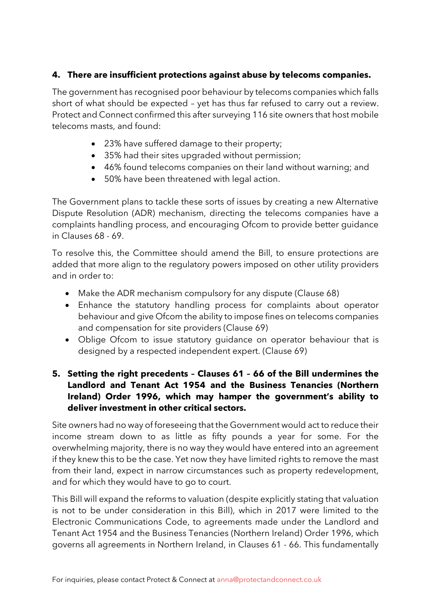# **4. There are insufficient protections against abuse by telecoms companies.**

The government has recognised poor behaviour by telecoms companies which falls short of what should be expected – yet has thus far refused to carry out a review. Protect and Connect confirmed this after surveying 116 site owners that host mobile telecoms masts, and found:

- 23% have suffered damage to their property;
- 35% had their sites upgraded without permission;
- 46% found telecoms companies on their land without warning; and
- 50% have been threatened with legal action.

The Government plans to tackle these sorts of issues by creating a new Alternative Dispute Resolution (ADR) mechanism, directing the telecoms companies have a complaints handling process, and encouraging Ofcom to provide better guidance in Clauses 68 - 69.

To resolve this, the Committee should amend the Bill, to ensure protections are added that more align to the regulatory powers imposed on other utility providers and in order to:

- Make the ADR mechanism compulsory for any dispute (Clause 68)
- Enhance the statutory handling process for complaints about operator behaviour and give Ofcom the ability to impose fines on telecoms companies and compensation for site providers (Clause 69)
- Oblige Ofcom to issue statutory guidance on operator behaviour that is designed by a respected independent expert. (Clause 69)

# **5. Setting the right precedents – Clauses 61 – 66 of the Bill undermines the Landlord and Tenant Act 1954 and the Business Tenancies (Northern Ireland) Order 1996, which may hamper the government's ability to deliver investment in other critical sectors.**

Site owners had no way of foreseeing that the Government would act to reduce their income stream down to as little as fifty pounds a year for some. For the overwhelming majority, there is no way they would have entered into an agreement if they knew this to be the case. Yet now they have limited rights to remove the mast from their land, expect in narrow circumstances such as property redevelopment, and for which they would have to go to court.

This Bill will expand the reforms to valuation (despite explicitly stating that valuation is not to be under consideration in this Bill), which in 2017 were limited to the Electronic Communications Code, to agreements made under the Landlord and Tenant Act 1954 and the Business Tenancies (Northern Ireland) Order 1996, which governs all agreements in Northern Ireland, in Clauses 61 - 66. This fundamentally